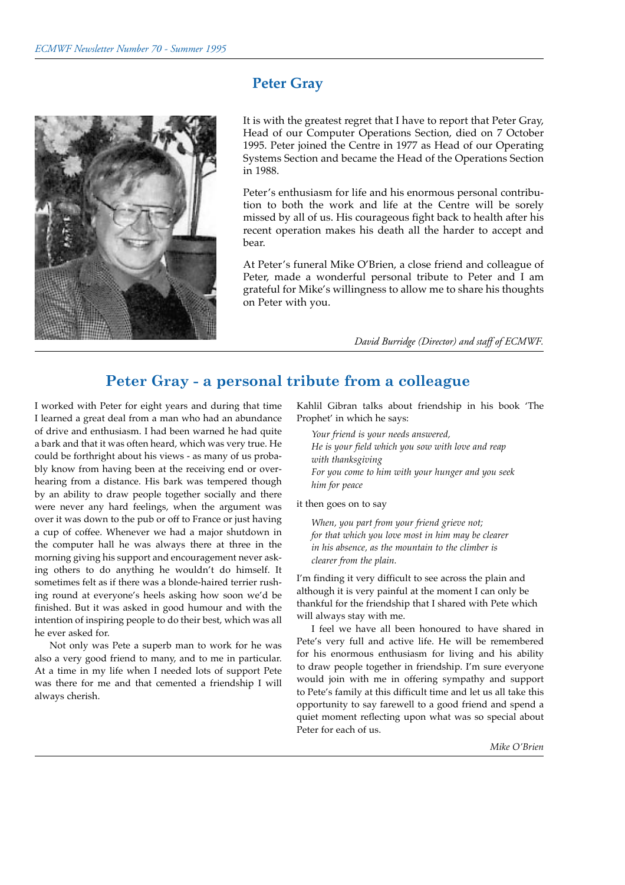

# **Peter Gray**

It is with the greatest regret that I have to report that Peter Gray, Head of our Computer Operations Section, died on 7 October 1995. Peter joined the Centre in 1977 as Head of our Operating Systems Section and became the Head of the Operations Section in 1988.

Peter's enthusiasm for life and his enormous personal contribution to both the work and life at the Centre will be sorely missed by all of us. His courageous fight back to health after his recent operation makes his death all the harder to accept and bear.

At Peter's funeral Mike O'Brien, a close friend and colleague of Peter, made a wonderful personal tribute to Peter and I am grateful for Mikeís willingness to allow me to share his thoughts on Peter with you.

*David Burridge (Director) and staff of ECMWF.* 

# **Peter Gray - a personal tribute from a colleague**

I worked with Peter for eight years and during that time I learned a great deal from a man who had an abundance of drive and enthusiasm. I had been warned he had quite a bark and that it was often heard, which was very true. He could be forthright about his views - as many of us probably know from having been at the receiving end or overhearing from a distance. His bark was tempered though by an ability to draw people together socially and there were never any hard feelings, when the argument was over it was down to the pub or off to France or just having a cup of coffee. Whenever we had a major shutdown in the computer hall he was always there at three in the morning giving his support and encouragement never asking others to do anything he wouldn't do himself. It sometimes felt as if there was a blonde-haired terrier rushing round at everyone's heels asking how soon we'd be finished. But it was asked in good humour and with the intention of inspiring people to do their best, which was all he ever asked for.

Not only was Pete a superb man to work for he was also a very good friend to many, and to me in particular. At a time in my life when I needed lots of support Pete was there for me and that cemented a friendship I will always cherish.

Kahlil Gibran talks about friendship in his book 'The Prophet' in which he says:

*Your friend is your needs answered, He is your field which you sow with love and reap with thanksgiving For you come to him with your hunger and you seek him for peace* 

it then goes on to say

*When, you part from your friend grieve not; for that which you love most in him may be clearer in his absence, as the mountain to the climber is clearer from the plain.* 

I'm finding it very difficult to see across the plain and although it is very painful at the moment I can only be thankful for the friendship that I shared with Pete which will always stay with me.

I feel we have all been honoured to have shared in Pete's very full and active life. He will be remembered for his enormous enthusiasm for living and his ability to draw people together in friendship. I'm sure everyone would join with me in offering sympathy and support to Pete's family at this difficult time and let us all take this opportunity to say farewell to a good friend and spend a quiet moment reflecting upon what was so special about Peter for each of us.

*Mike OíBrien*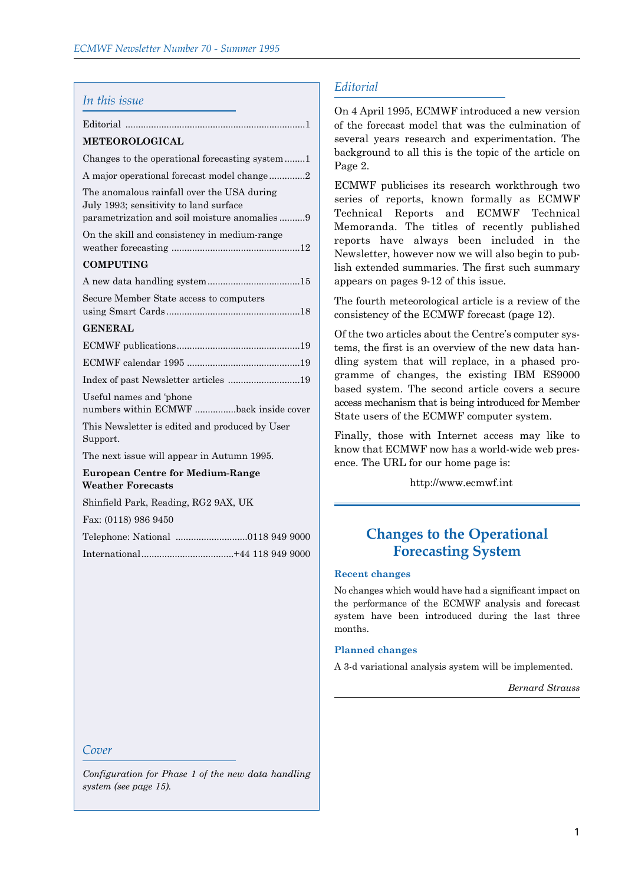| In this issue                                                                                                                        |
|--------------------------------------------------------------------------------------------------------------------------------------|
|                                                                                                                                      |
| <b>METEOROLOGICAL</b>                                                                                                                |
| Changes to the operational forecasting system                                                                                        |
| A major operational forecast model change2                                                                                           |
| The anomalous rainfall over the USA during<br>July 1993; sensitivity to land surface<br>parametrization and soil moisture anomalies9 |
| On the skill and consistency in medium-range                                                                                         |
| <b>COMPUTING</b>                                                                                                                     |
|                                                                                                                                      |
| Secure Member State access to computers                                                                                              |
| <b>GENERAL</b>                                                                                                                       |
|                                                                                                                                      |
|                                                                                                                                      |
| Index of past Newsletter articles 19                                                                                                 |
| Useful names and 'phone<br>numbers within ECMWF back inside cover                                                                    |
| This Newsletter is edited and produced by User<br>Support.                                                                           |
| The next issue will appear in Autumn 1995.                                                                                           |
| <b>European Centre for Medium-Range</b><br><b>Weather Forecasts</b>                                                                  |
| Shinfield Park, Reading, RG2 9AX, UK                                                                                                 |
| Fax: (0118) 986 9450                                                                                                                 |
|                                                                                                                                      |
|                                                                                                                                      |

# *Editorial*

On 4 April 1995, ECMWF introduced a new version of the forecast model that was the culmination of several years research and experimentation. The background to all this is the topic of the article on Page 2.

ECMWF publicises its research workthrough two series of reports, known formally as ECMWF Technical Reports and ECMWF Technical Memoranda. The titles of recently published reports have always been included in the Newsletter, however now we will also begin to publish extended summaries. The first such summary appears on pages 9-12 of this issue.

The fourth meteorological article is a review of the consistency of the ECMWF forecast (page 12).

Of the two articles about the Centre's computer systems, the first is an overview of the new data handling system that will replace, in a phased programme of changes, the existing IBM ES9000 based system. The second article covers a secure access mechanism that is being introduced for Member State users of the ECMWF computer system.

Finally, those with Internet access may like to know that ECMWF now has a world-wide web presence. The URL for our home page is:

http://www.ecmwf.int

# **Changes to the Operational Forecasting System**

### **Recent changes**

No changes which would have had a significant impact on the performance of the ECMWF analysis and forecast system have been introduced during the last three months.

#### **Planned changes**

A 3-d variational analysis system will be implemented.

*Bernard Strauss*

### *Cover*

*Configuration for Phase 1 of the new data handling system (see page 15).*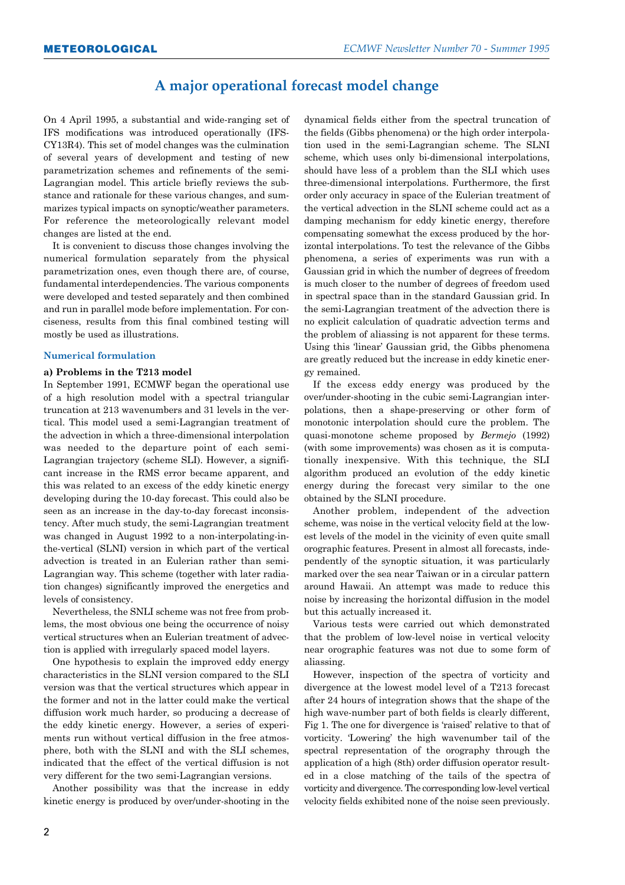# **A major operational forecast model change**

On 4 April 1995, a substantial and wide-ranging set of IFS modifications was introduced operationally (IFS-CY13R4). This set of model changes was the culmination of several years of development and testing of new parametrization schemes and refinements of the semi-Lagrangian model. This article briefly reviews the substance and rationale for these various changes, and summarizes typical impacts on synoptic/weather parameters. For reference the meteorologically relevant model changes are listed at the end.

It is convenient to discuss those changes involving the numerical formulation separately from the physical parametrization ones, even though there are, of course, fundamental interdependencies. The various components were developed and tested separately and then combined and run in parallel mode before implementation. For conciseness, results from this final combined testing will mostly be used as illustrations.

#### **Numerical formulation**

#### **a) Problems in the T213 model**

In September 1991, ECMWF began the operational use of a high resolution model with a spectral triangular truncation at 213 wavenumbers and 31 levels in the vertical. This model used a semi-Lagrangian treatment of the advection in which a three-dimensional interpolation was needed to the departure point of each semi-Lagrangian trajectory (scheme SLI). However, a significant increase in the RMS error became apparent, and this was related to an excess of the eddy kinetic energy developing during the 10-day forecast. This could also be seen as an increase in the day-to-day forecast inconsistency. After much study, the semi-Lagrangian treatment was changed in August 1992 to a non-interpolating-inthe-vertical (SLNI) version in which part of the vertical advection is treated in an Eulerian rather than semi-Lagrangian way. This scheme (together with later radiation changes) significantly improved the energetics and levels of consistency.

Nevertheless, the SNLI scheme was not free from problems, the most obvious one being the occurrence of noisy vertical structures when an Eulerian treatment of advection is applied with irregularly spaced model layers.

One hypothesis to explain the improved eddy energy characteristics in the SLNI version compared to the SLI version was that the vertical structures which appear in the former and not in the latter could make the vertical diffusion work much harder, so producing a decrease of the eddy kinetic energy. However, a series of experiments run without vertical diffusion in the free atmosphere, both with the SLNI and with the SLI schemes, indicated that the effect of the vertical diffusion is not very different for the two semi-Lagrangian versions.

Another possibility was that the increase in eddy kinetic energy is produced by over/under-shooting in the dynamical fields either from the spectral truncation of the fields (Gibbs phenomena) or the high order interpolation used in the semi-Lagrangian scheme. The SLNI scheme, which uses only bi-dimensional interpolations, should have less of a problem than the SLI which uses three-dimensional interpolations. Furthermore, the first order only accuracy in space of the Eulerian treatment of the vertical advection in the SLNI scheme could act as a damping mechanism for eddy kinetic energy, therefore compensating somewhat the excess produced by the horizontal interpolations. To test the relevance of the Gibbs phenomena, a series of experiments was run with a Gaussian grid in which the number of degrees of freedom is much closer to the number of degrees of freedom used in spectral space than in the standard Gaussian grid. In the semi-Lagrangian treatment of the advection there is no explicit calculation of quadratic advection terms and the problem of aliassing is not apparent for these terms. Using this 'linear' Gaussian grid, the Gibbs phenomena are greatly reduced but the increase in eddy kinetic energy remained.

If the excess eddy energy was produced by the over/under-shooting in the cubic semi-Lagrangian interpolations, then a shape-preserving or other form of monotonic interpolation should cure the problem. The quasi-monotone scheme proposed by *Bermejo* (1992) (with some improvements) was chosen as it is computationally inexpensive. With this technique, the SLI algorithm produced an evolution of the eddy kinetic energy during the forecast very similar to the one obtained by the SLNI procedure.

Another problem, independent of the advection scheme, was noise in the vertical velocity field at the lowest levels of the model in the vicinity of even quite small orographic features. Present in almost all forecasts, independently of the synoptic situation, it was particularly marked over the sea near Taiwan or in a circular pattern around Hawaii. An attempt was made to reduce this noise by increasing the horizontal diffusion in the model but this actually increased it.

Various tests were carried out which demonstrated that the problem of low-level noise in vertical velocity near orographic features was not due to some form of aliassing.

However, inspection of the spectra of vorticity and divergence at the lowest model level of a T213 forecast after 24 hours of integration shows that the shape of the high wave-number part of both fields is clearly different, Fig 1. The one for divergence is 'raised' relative to that of vorticity. Lowering' the high wavenumber tail of the spectral representation of the orography through the application of a high (8th) order diffusion operator resulted in a close matching of the tails of the spectra of vorticity and divergence. The corresponding low-level vertical velocity fields exhibited none of the noise seen previously.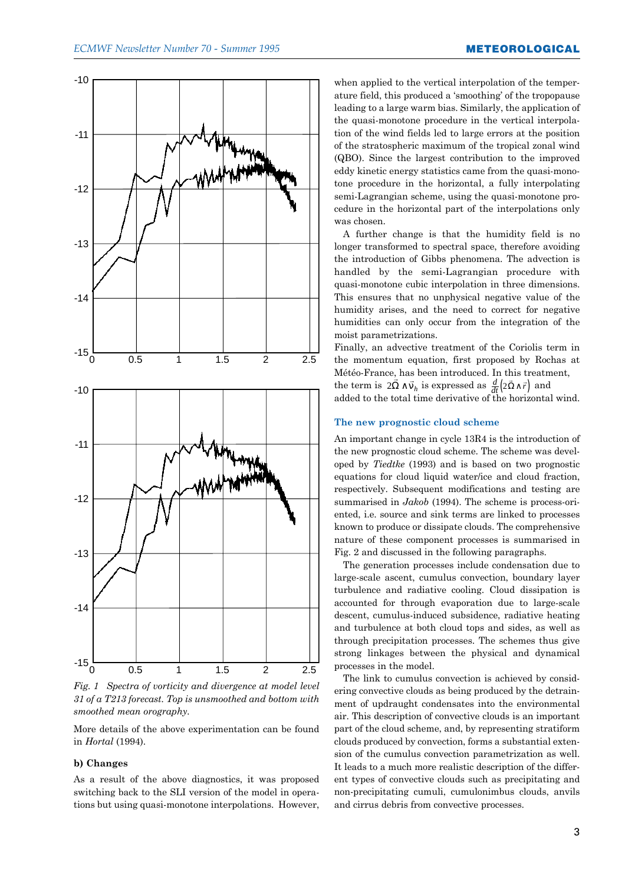



More details of the above experimentation can be found in *Hortal* (1994).

#### **b) Changes**

As a result of the above diagnostics, it was proposed switching back to the SLI version of the model in operations but using quasi-monotone interpolations. However, when applied to the vertical interpolation of the temperature field, this produced a 'smoothing' of the tropopause leading to a large warm bias. Similarly, the application of the quasi-monotone procedure in the vertical interpolation of the wind fields led to large errors at the position of the stratospheric maximum of the tropical zonal wind (QBO). Since the largest contribution to the improved eddy kinetic energy statistics came from the quasi-monotone procedure in the horizontal, a fully interpolating semi-Lagrangian scheme, using the quasi-monotone procedure in the horizontal part of the interpolations only was chosen.

A further change is that the humidity field is no longer transformed to spectral space, therefore avoiding the introduction of Gibbs phenomena. The advection is handled by the semi-Lagrangian procedure with quasi-monotone cubic interpolation in three dimensions. This ensures that no unphysical negative value of the humidity arises, and the need to correct for negative humidities can only occur from the integration of the moist parametrizations.

Finally, an advective treatment of the Coriolis term in the momentum equation, first proposed by Rochas at Météo-France, has been introduced. In this treatment, the term is  $2\overline{\Omega} \wedge \overline{v}_h$  is expressed as  $\frac{d}{dt} (2\overline{\Omega} \wedge \overline{r})$  and

added to the total time derivative of the horizontal wind.

#### **The new prognostic cloud scheme**

An important change in cycle 13R4 is the introduction of the new prognostic cloud scheme. The scheme was developed by *Tiedtke* (1993) and is based on two prognostic equations for cloud liquid water/ice and cloud fraction, respectively. Subsequent modifications and testing are summarised in *Jakob* (1994). The scheme is process-oriented, i.e. source and sink terms are linked to processes known to produce or dissipate clouds. The comprehensive nature of these component processes is summarised in Fig. 2 and discussed in the following paragraphs.

The generation processes include condensation due to large-scale ascent, cumulus convection, boundary layer turbulence and radiative cooling. Cloud dissipation is accounted for through evaporation due to large-scale descent, cumulus-induced subsidence, radiative heating and turbulence at both cloud tops and sides, as well as through precipitation processes. The schemes thus give strong linkages between the physical and dynamical processes in the model.

The link to cumulus convection is achieved by considering convective clouds as being produced by the detrainment of updraught condensates into the environmental air. This description of convective clouds is an important part of the cloud scheme, and, by representing stratiform clouds produced by convection, forms a substantial extension of the cumulus convection parametrization as well. It leads to a much more realistic description of the different types of convective clouds such as precipitating and non-precipitating cumuli, cumulonimbus clouds, anvils and cirrus debris from convective processes.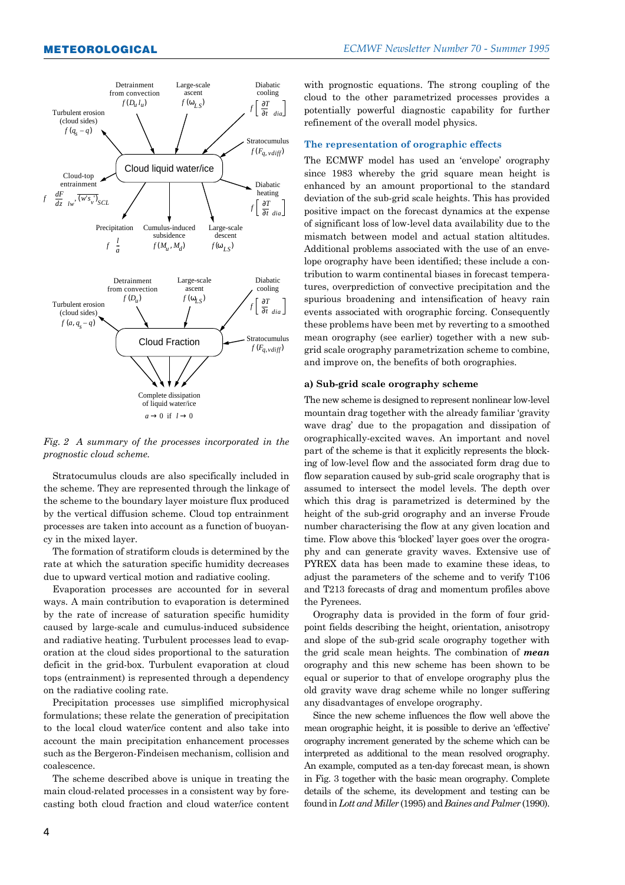

*Fig. 2 A summary of the processes incorporated in the prognostic cloud scheme.*

Stratocumulus clouds are also specifically included in the scheme. They are represented through the linkage of the scheme to the boundary layer moisture flux produced by the vertical diffusion scheme. Cloud top entrainment processes are taken into account as a function of buoyancy in the mixed layer.

The formation of stratiform clouds is determined by the rate at which the saturation specific humidity decreases due to upward vertical motion and radiative cooling.

Evaporation processes are accounted for in several ways. A main contribution to evaporation is determined by the rate of increase of saturation specific humidity caused by large-scale and cumulus-induced subsidence and radiative heating. Turbulent processes lead to evaporation at the cloud sides proportional to the saturation deficit in the grid-box. Turbulent evaporation at cloud tops (entrainment) is represented through a dependency on the radiative cooling rate.

Precipitation processes use simplified microphysical formulations; these relate the generation of precipitation to the local cloud water/ice content and also take into account the main precipitation enhancement processes such as the Bergeron-Findeisen mechanism, collision and coalescence.

The scheme described above is unique in treating the main cloud-related processes in a consistent way by forecasting both cloud fraction and cloud water/ice content with prognostic equations. The strong coupling of the cloud to the other parametrized processes provides a potentially powerful diagnostic capability for further refinement of the overall model physics.

#### **The representation of orographic effects**

The ECMWF model has used an 'envelope' orography since 1983 whereby the grid square mean height is enhanced by an amount proportional to the standard deviation of the sub-grid scale heights. This has provided positive impact on the forecast dynamics at the expense of significant loss of low-level data availability due to the mismatch between model and actual station altitudes. Additional problems associated with the use of an envelope orography have been identified; these include a contribution to warm continental biases in forecast temperatures, overprediction of convective precipitation and the spurious broadening and intensification of heavy rain events associated with orographic forcing. Consequently these problems have been met by reverting to a smoothed mean orography (see earlier) together with a new subgrid scale orography parametrization scheme to combine, and improve on, the benefits of both orographies.

#### **a) Sub-grid scale orography scheme**

The new scheme is designed to represent nonlinear low-level mountain drag together with the already familiar ëgravity wave dragí due to the propagation and dissipation of orographically-excited waves. An important and novel part of the scheme is that it explicitly represents the blocking of low-level flow and the associated form drag due to flow separation caused by sub-grid scale orography that is assumed to intersect the model levels. The depth over which this drag is parametrized is determined by the height of the sub-grid orography and an inverse Froude number characterising the flow at any given location and time. Flow above this 'blocked' layer goes over the orography and can generate gravity waves. Extensive use of PYREX data has been made to examine these ideas, to adjust the parameters of the scheme and to verify T106 and T213 forecasts of drag and momentum profiles above the Pyrenees.

Orography data is provided in the form of four gridpoint fields describing the height, orientation, anisotropy and slope of the sub-grid scale orography together with the grid scale mean heights. The combination of *mean* orography and this new scheme has been shown to be equal or superior to that of envelope orography plus the old gravity wave drag scheme while no longer suffering any disadvantages of envelope orography.

Since the new scheme influences the flow well above the mean orographic height, it is possible to derive an 'effective' orography increment generated by the scheme which can be interpreted as additional to the mean resolved orography. An example, computed as a ten-day forecast mean, is shown in Fig. 3 together with the basic mean orography. Complete details of the scheme, its development and testing can be found in *Lott and Miller* (1995) and *Baines and Palmer* (1990).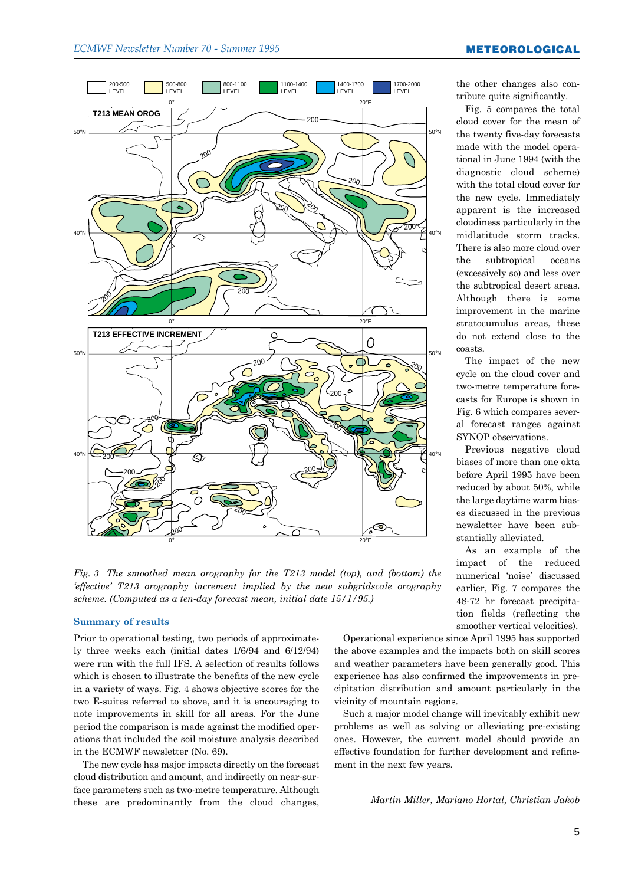

*Fig. 3 The smoothed mean orography for the T213 model (top), and (bottom) the ëeffectiveí T213 orography increment implied by the new subgridscale orography scheme. (Computed as a ten-day forecast mean, initial date 15/1/95.)*

Prior to operational testing, two periods of approximately three weeks each (initial dates 1/6/94 and 6/12/94) were run with the full IFS. A selection of results follows which is chosen to illustrate the benefits of the new cycle in a variety of ways. Fig. 4 shows objective scores for the two E-suites referred to above, and it is encouraging to note improvements in skill for all areas. For the June period the comparison is made against the modified operations that included the soil moisture analysis described in the ECMWF newsletter (No. 69).

The new cycle has major impacts directly on the forecast cloud distribution and amount, and indirectly on near-surface parameters such as two-metre temperature. Although these are predominantly from the cloud changes, the other changes also contribute quite significantly.

Fig. 5 compares the total cloud cover for the mean of the twenty five-day forecasts made with the model operational in June 1994 (with the diagnostic cloud scheme) with the total cloud cover for the new cycle. Immediately apparent is the increased cloudiness particularly in the midlatitude storm tracks. There is also more cloud over the subtropical oceans (excessively so) and less over the subtropical desert areas. Although there is some improvement in the marine stratocumulus areas, these do not extend close to the coasts.

The impact of the new cycle on the cloud cover and two-metre temperature forecasts for Europe is shown in Fig. 6 which compares several forecast ranges against SYNOP observations.

Previous negative cloud biases of more than one okta before April 1995 have been reduced by about 50%, while the large daytime warm biases discussed in the previous newsletter have been substantially alleviated.

As an example of the impact of the reduced numerical 'noise' discussed earlier, Fig. 7 compares the 48-72 hr forecast precipitation fields (reflecting the Summary of results smoother vertical velocities).

> Operational experience since April 1995 has supported the above examples and the impacts both on skill scores and weather parameters have been generally good. This experience has also confirmed the improvements in precipitation distribution and amount particularly in the vicinity of mountain regions.

> Such a major model change will inevitably exhibit new problems as well as solving or alleviating pre-existing ones. However, the current model should provide an effective foundation for further development and refinement in the next few years.

> > *Martin Miller, Mariano Hortal, Christian Jakob*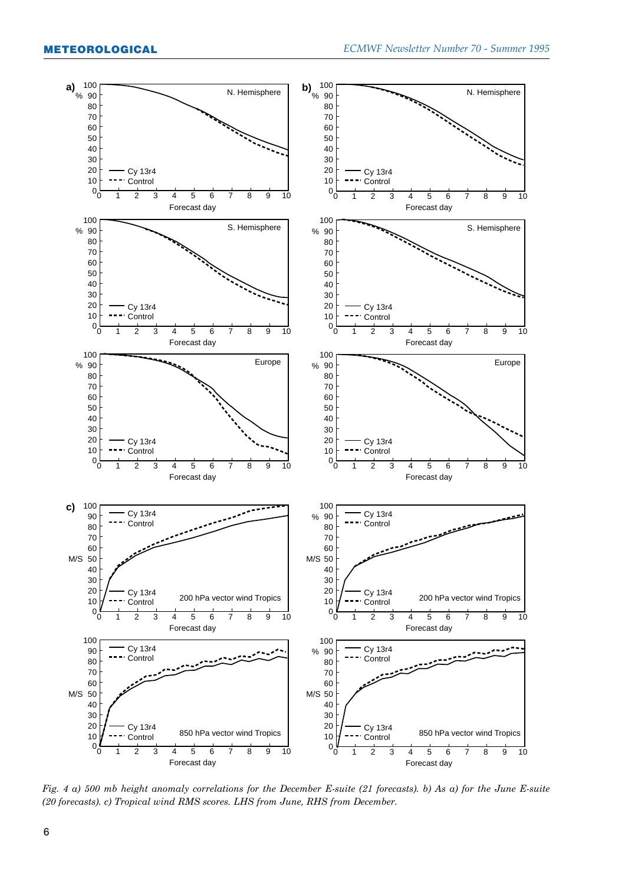

*Fig. 4 a) 500 mb height anomaly correlations for the December E-suite (21 forecasts). b) As a) for the June E-suite (20 forecasts). c) Tropical wind RMS scores. LHS from June, RHS from December.*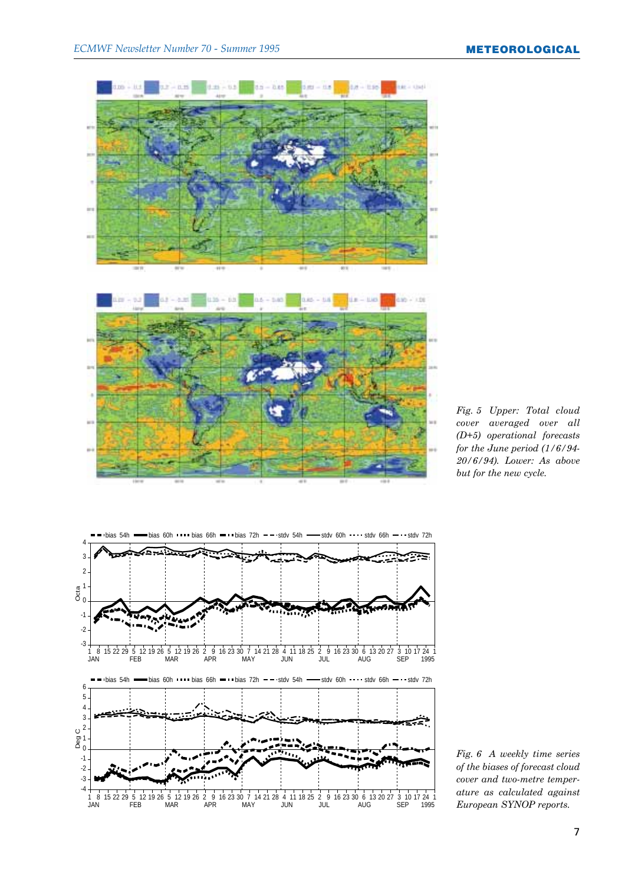





*Fig. 6 A weekly time series of the biases of forecast cloud cover and two-metre temperature as calculated against European SYNOP reports.*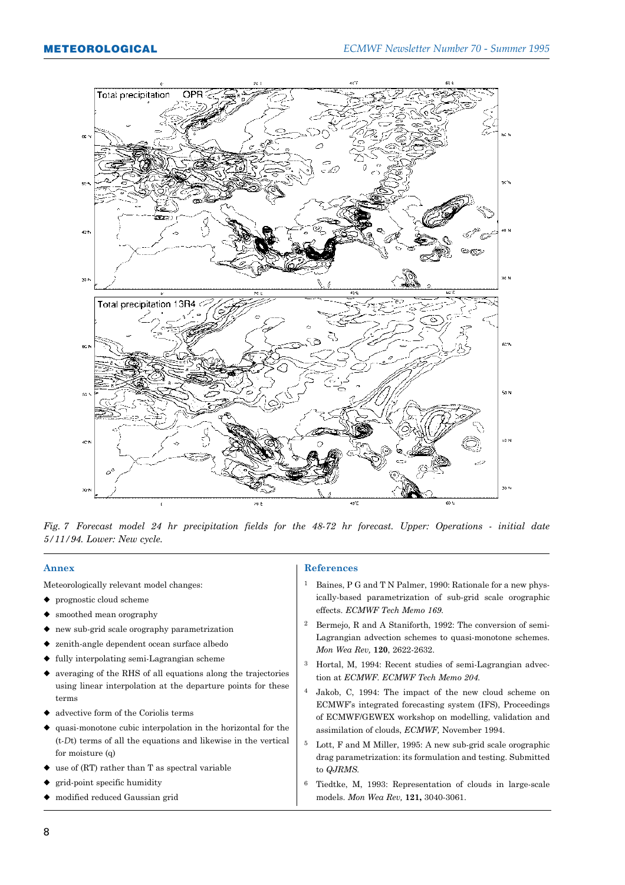

*Fig. 7 Forecast model 24 hr precipitation fields for the 48-72 hr forecast. Upper: Operations - initial date 5/11/94. Lower: New cycle.*

#### **Annex**

Meteorologically relevant model changes:

- $\blacklozenge$  prognostic cloud scheme
- smoothed mean orography
- $\bullet$  new sub-grid scale orography parametrization
- $\blacklozenge$  zenith-angle dependent ocean surface albedo
- $\bullet$  fully interpolating semi-Lagrangian scheme
- $\blacklozenge$  averaging of the RHS of all equations along the trajectories using linear interpolation at the departure points for these terms
- advective form of the Coriolis terms
- $\bullet$  quasi-monotone cubic interpolation in the horizontal for the (t-*D*t) terms of all the equations and likewise in the vertical for moisture (q)
- $\bullet$  use of (RT) rather than T as spectral variable
- $\bullet$  grid-point specific humidity
- $\bullet$  modified reduced Gaussian grid

#### **References**

- 1 Baines, P G and T N Palmer, 1990: Rationale for a new physically-based parametrization of sub-grid scale orographic effects. *ECMWF Tech Memo 169.*
- 2 Bermejo, R and A Staniforth, 1992: The conversion of semi-Lagrangian advection schemes to quasi-monotone schemes. *Mon Wea Rev,* **120**, 2622-2632.
- 3 Hortal, M, 1994: Recent studies of semi-Lagrangian advection at *ECMWF. ECMWF Tech Memo 204.*
- 4 Jakob, C, 1994: The impact of the new cloud scheme on ECMWFís integrated forecasting system (IFS), Proceedings of ECMWF/GEWEX workshop on modelling, validation and assimilation of clouds, *ECMWF,* November 1994.
- 5 Lott, F and M Miller, 1995: A new sub-grid scale orographic drag parametrization: its formulation and testing. Submitted to *QJRMS.*
- 6 Tiedtke, M, 1993: Representation of clouds in large-scale models. *Mon Wea Rev,* **121,** 3040-3061.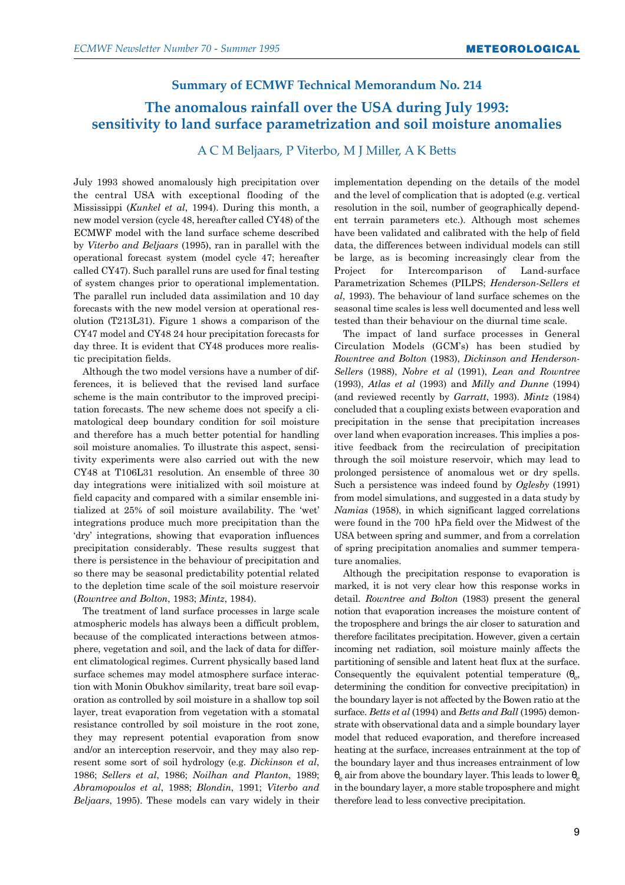# **Summary of ECMWF Technical Memorandum No. 214 The anomalous rainfall over the USA during July 1993: sensitivity to land surface parametrization and soil moisture anomalies**

### A C M Beljaars, P Viterbo, M J Miller, A K Betts

July 1993 showed anomalously high precipitation over the central USA with exceptional flooding of the Mississippi (*Kunkel et al*, 1994). During this month, a new model version (cycle 48, hereafter called CY48) of the ECMWF model with the land surface scheme described by *Viterbo and Beljaars* (1995), ran in parallel with the operational forecast system (model cycle 47; hereafter called CY47). Such parallel runs are used for final testing of system changes prior to operational implementation. The parallel run included data assimilation and 10 day forecasts with the new model version at operational resolution (T213L31). Figure 1 shows a comparison of the CY47 model and CY48 24 hour precipitation forecasts for day three. It is evident that CY48 produces more realistic precipitation fields.

Although the two model versions have a number of differences, it is believed that the revised land surface scheme is the main contributor to the improved precipitation forecasts. The new scheme does not specify a climatological deep boundary condition for soil moisture and therefore has a much better potential for handling soil moisture anomalies. To illustrate this aspect, sensitivity experiments were also carried out with the new CY48 at T106L31 resolution. An ensemble of three 30 day integrations were initialized with soil moisture at field capacity and compared with a similar ensemble initialized at 25% of soil moisture availability. The 'wet' integrations produce much more precipitation than the ëdryí integrations, showing that evaporation influences precipitation considerably. These results suggest that there is persistence in the behaviour of precipitation and so there may be seasonal predictability potential related to the depletion time scale of the soil moisture reservoir (*Rowntree and Bolton*, 1983; *Mintz*, 1984).

The treatment of land surface processes in large scale atmospheric models has always been a difficult problem, because of the complicated interactions between atmosphere, vegetation and soil, and the lack of data for different climatological regimes. Current physically based land surface schemes may model atmosphere surface interaction with Monin Obukhov similarity, treat bare soil evaporation as controlled by soil moisture in a shallow top soil layer, treat evaporation from vegetation with a stomatal resistance controlled by soil moisture in the root zone, they may represent potential evaporation from snow and/or an interception reservoir, and they may also represent some sort of soil hydrology (e.g. *Dickinson et al*, 1986; *Sellers et al*, 1986; *Noilhan and Planton*, 1989; *Abramopoulos et al*, 1988; *Blondin*, 1991; *Viterbo and Beljaars*, 1995). These models can vary widely in their implementation depending on the details of the model and the level of complication that is adopted (e.g. vertical resolution in the soil, number of geographically dependent terrain parameters etc.). Although most schemes have been validated and calibrated with the help of field data, the differences between individual models can still be large, as is becoming increasingly clear from the Project for Intercomparison of Land-surface Parametrization Schemes (PILPS; *Henderson-Sellers et al*, 1993). The behaviour of land surface schemes on the seasonal time scales is less well documented and less well tested than their behaviour on the diurnal time scale.

The impact of land surface processes in General Circulation Models (GCMís) has been studied by *Rowntree and Bolton* (1983), *Dickinson and Henderson-Sellers* (1988), *Nobre et al* (1991), *Lean and Rowntree* (1993), *Atlas et al* (1993) and *Milly and Dunne* (1994) (and reviewed recently by *Garratt*, 1993). *Mintz* (1984) concluded that a coupling exists between evaporation and precipitation in the sense that precipitation increases over land when evaporation increases. This implies a positive feedback from the recirculation of precipitation through the soil moisture reservoir, which may lead to prolonged persistence of anomalous wet or dry spells. Such a persistence was indeed found by *Oglesby* (1991) from model simulations, and suggested in a data study by *Namias* (1958), in which significant lagged correlations were found in the 700 hPa field over the Midwest of the USA between spring and summer, and from a correlation of spring precipitation anomalies and summer temperature anomalies.

Although the precipitation response to evaporation is marked, it is not very clear how this response works in detail. *Rowntree and Bolton* (1983) present the general notion that evaporation increases the moisture content of the troposphere and brings the air closer to saturation and therefore facilitates precipitation. However, given a certain incoming net radiation, soil moisture mainly affects the partitioning of sensible and latent heat flux at the surface. Consequently the equivalent potential temperature  $(\theta_{e},$ determining the condition for convective precipitation) in the boundary layer is not affected by the Bowen ratio at the surface. *Betts et al* (1994) and *Betts and Ball* (1995) demonstrate with observational data and a simple boundary layer model that reduced evaporation, and therefore increased heating at the surface, increases entrainment at the top of the boundary layer and thus increases entrainment of low  $θ<sub>e</sub>$  air from above the boundary layer. This leads to lower  $θ<sub>e</sub>$ in the boundary layer, a more stable troposphere and might therefore lead to less convective precipitation.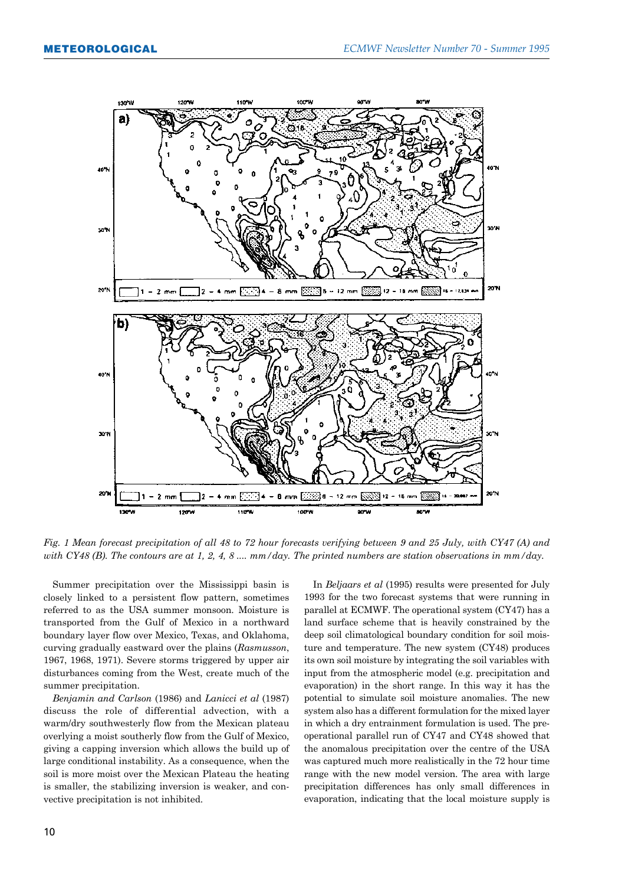

*Fig. 1 Mean forecast precipitation of all 48 to 72 hour forecasts verifying between 9 and 25 July, with CY47 (A) and with CY48 (B). The contours are at 1, 2, 4, 8 .... mm/day. The printed numbers are station observations in mm/day.*

Summer precipitation over the Mississippi basin is closely linked to a persistent flow pattern, sometimes referred to as the USA summer monsoon. Moisture is transported from the Gulf of Mexico in a northward boundary layer flow over Mexico, Texas, and Oklahoma, curving gradually eastward over the plains (*Rasmusson*, 1967, 1968, 1971). Severe storms triggered by upper air disturbances coming from the West, create much of the summer precipitation.

*Benjamin and Carlson* (1986) and *Lanicci et al* (1987) discuss the role of differential advection, with a warm/dry southwesterly flow from the Mexican plateau overlying a moist southerly flow from the Gulf of Mexico, giving a capping inversion which allows the build up of large conditional instability. As a consequence, when the soil is more moist over the Mexican Plateau the heating is smaller, the stabilizing inversion is weaker, and convective precipitation is not inhibited.

In *Beljaars et al* (1995) results were presented for July 1993 for the two forecast systems that were running in parallel at ECMWF. The operational system (CY47) has a land surface scheme that is heavily constrained by the deep soil climatological boundary condition for soil moisture and temperature. The new system (CY48) produces its own soil moisture by integrating the soil variables with input from the atmospheric model (e.g. precipitation and evaporation) in the short range. In this way it has the potential to simulate soil moisture anomalies. The new system also has a different formulation for the mixed layer in which a dry entrainment formulation is used. The preoperational parallel run of CY47 and CY48 showed that the anomalous precipitation over the centre of the USA was captured much more realistically in the 72 hour time range with the new model version. The area with large precipitation differences has only small differences in evaporation, indicating that the local moisture supply is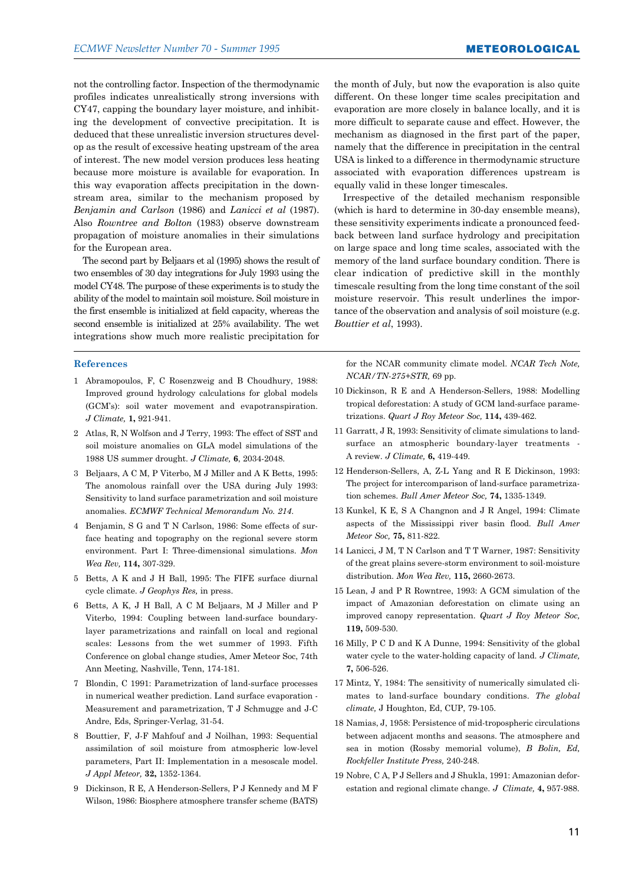not the controlling factor. Inspection of the thermodynamic profiles indicates unrealistically strong inversions with CY47, capping the boundary layer moisture, and inhibiting the development of convective precipitation. It is deduced that these unrealistic inversion structures develop as the result of excessive heating upstream of the area of interest. The new model version produces less heating because more moisture is available for evaporation. In this way evaporation affects precipitation in the downstream area, similar to the mechanism proposed by *Benjamin and Carlson* (1986) and *Lanicci et al* (1987). Also *Rowntree and Bolton* (1983) observe downstream propagation of moisture anomalies in their simulations for the European area.

The second part by Beljaars et al (1995) shows the result of two ensembles of 30 day integrations for July 1993 using the model CY48. The purpose of these experiments is to study the ability of the model to maintain soil moisture. Soil moisture in the first ensemble is initialized at field capacity, whereas the second ensemble is initialized at 25% availability. The wet integrations show much more realistic precipitation for

#### **References**

- 1 Abramopoulos, F, C Rosenzweig and B Choudhury, 1988: Improved ground hydrology calculations for global models (GCM's): soil water movement and evapotranspiration. *J Climate,* **1,** 921-941.
- 2 Atlas, R, N Wolfson and J Terry, 1993: The effect of SST and soil moisture anomalies on GLA model simulations of the 1988 US summer drought. *J Climate,* **6**, 2034-2048.
- 3 Beljaars, A C M, P Viterbo, M J Miller and A K Betts, 1995: The anomolous rainfall over the USA during July 1993: Sensitivity to land surface parametrization and soil moisture anomalies. *ECMWF Technical Memorandum No. 214*.
- 4 Benjamin, S G and T N Carlson, 1986: Some effects of surface heating and topography on the regional severe storm environment. Part I: Three-dimensional simulations. *Mon Wea Rev,* **114,** 307-329.
- 5 Betts, A K and J H Ball, 1995: The FIFE surface diurnal cycle climate. *J Geophys Res,* in press.
- 6 Betts, A K, J H Ball, A C M Beljaars, M J Miller and P Viterbo, 1994: Coupling between land-surface boundarylayer parametrizations and rainfall on local and regional scales: Lessons from the wet summer of 1993. Fifth Conference on global change studies, Amer Meteor Soc, 74th Ann Meeting, Nashville, Tenn, 174-181.
- 7 Blondin, C 1991: Parametrization of land-surface processes in numerical weather prediction. Land surface evaporation - Measurement and parametrization, T J Schmugge and J-C Andre, Eds, Springer-Verlag, 31-54.
- 8 Bouttier, F, J-F Mahfouf and J Noilhan, 1993: Sequential assimilation of soil moisture from atmospheric low-level parameters, Part II: Implementation in a mesoscale model. *J Appl Meteor,* **32,** 1352-1364.
- 9 Dickinson, R E, A Henderson-Sellers, P J Kennedy and M F Wilson, 1986: Biosphere atmosphere transfer scheme (BATS)

the month of July, but now the evaporation is also quite different. On these longer time scales precipitation and evaporation are more closely in balance locally, and it is more difficult to separate cause and effect. However, the mechanism as diagnosed in the first part of the paper, namely that the difference in precipitation in the central USA is linked to a difference in thermodynamic structure associated with evaporation differences upstream is equally valid in these longer timescales.

Irrespective of the detailed mechanism responsible (which is hard to determine in 30-day ensemble means), these sensitivity experiments indicate a pronounced feedback between land surface hydrology and precipitation on large space and long time scales, associated with the memory of the land surface boundary condition. There is clear indication of predictive skill in the monthly timescale resulting from the long time constant of the soil moisture reservoir. This result underlines the importance of the observation and analysis of soil moisture (e.g. *Bouttier et al*, 1993).

for the NCAR community climate model. *NCAR Tech Note, NCAR/TN-275+STR,* 69 pp.

- 10 Dickinson, R E and A Henderson-Sellers, 1988: Modelling tropical deforestation: A study of GCM land-surface parametrizations. *Quart J Roy Meteor Soc,* **114,** 439-462.
- 11 Garratt, J R, 1993: Sensitivity of climate simulations to landsurface an atmospheric boundary-layer treatments - A review. *J Climate,* **6,** 419-449.
- 12 Henderson-Sellers, A, Z-L Yang and R E Dickinson, 1993: The project for intercomparison of land-surface parametrization schemes. *Bull Amer Meteor Soc,* **74,** 1335-1349.
- 13 Kunkel, K E, S A Changnon and J R Angel, 1994: Climate aspects of the Mississippi river basin flood. *Bull Amer Meteor Soc,* **75,** 811-822.
- 14 Lanicci, J M, T N Carlson and T T Warner, 1987: Sensitivity of the great plains severe-storm environment to soil-moisture distribution. *Mon Wea Rev,* **115,** 2660-2673.
- 15 Lean, J and P R Rowntree, 1993: A GCM simulation of the impact of Amazonian deforestation on climate using an improved canopy representation. *Quart J Roy Meteor Soc,* **119,** 509-530.
- 16 Milly, P C D and K A Dunne, 1994: Sensitivity of the global water cycle to the water-holding capacity of land. *J Climate,* **7,** 506-526.
- 17 Mintz, Y, 1984: The sensitivity of numerically simulated climates to land-surface boundary conditions. *The global climate,* J Houghton, Ed, CUP, 79-105.
- 18 Namias, J, 1958: Persistence of mid-tropospheric circulations between adjacent months and seasons. The atmosphere and sea in motion (Rossby memorial volume), *B Bolin, Ed, Rockfeller Institute Press,* 240-248.
- 19 Nobre, C A, P J Sellers and J Shukla, 1991: Amazonian deforestation and regional climate change. *J Climate,* **4,** 957-988.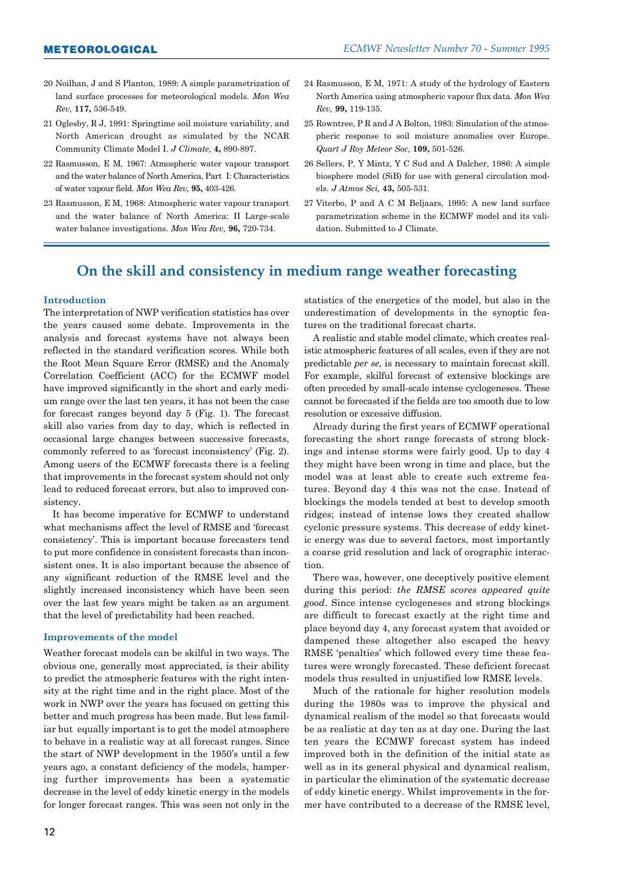- 20 Noilhan, J and S Planton, 1989: A simple parametrization of land surface processes for meteorological models. *Mon Wea Rev,* **117,** 536-549.
- 21 Oglesby, R J, 1991: Springtime soil moisture variability, and North American drought as simulated by the NCAR Community Climate Model I. *J Climate,* **4,** 890-897.
- 22 Rasmusson, E M, 1967: Atmospheric water vapour transport and the water balance of North America, Part I: Characteristics of water vapour field. *Mon Wea Rev,* **95,** 403-426.
- 23 Rasmusson, E M, 1968: Atmospheric water vapour transport and the water balance of North America: II Large-scale water balance investigations. *Mon Wea Rev,* **96,** 720-734.
- 24 Rasmusson, E M, 1971: A study of the hydrology of Eastern North America using atmospheric vapour flux data. *Mon Wea Rev,* **99,** 119-135.
- 25 Rowntree, P R and J A Bolton, 1983: Simulation of the atmospheric response to soil moisture anomalies over Europe. *Quart J Roy Meteor Soc,* **109,** 501-526.
- 26 Sellers, P, Y Mintz, Y C Sud and A Dalcher, 1986: A simple biosphere model (SiB) for use with general circulation models. *J Atmos Sci,* **43,** 505-531.
- 27 Viterbo, P and A C M Beljaars, 1995: A new land surface parametrization scheme in the ECMWF model and its validation. Submitted to J Climate.

# **On the skill and consistency in medium range weather forecasting**

#### **Introduction**

The interpretation of NWP verification statistics has over the years caused some debate. Improvements in the analysis and forecast systems have not always been reflected in the standard verification scores. While both the Root Mean Square Error (RMSE) and the Anomaly Correlation Coefficient (ACC) for the ECMWF model have improved significantly in the short and early medium range over the last ten years, it has not been the case for forecast ranges beyond day 5 (Fig. 1). The forecast skill also varies from day to day, which is reflected in occasional large changes between successive forecasts, commonly referred to as 'forecast inconsistency' (Fig. 2). Among users of the ECMWF forecasts there is a feeling that improvements in the forecast system should not only lead to reduced forecast errors, but also to improved consistency.

It has become imperative for ECMWF to understand what mechanisms affect the level of RMSE and 'forecast consistencyí. This is important because forecasters tend to put more confidence in consistent forecasts than inconsistent ones. It is also important because the absence of any significant reduction of the RMSE level and the slightly increased inconsistency which have been seen over the last few years might be taken as an argument that the level of predictability had been reached.

#### **Improvements of the model**

Weather forecast models can be skilful in two ways. The obvious one, generally most appreciated, is their ability to predict the atmospheric features with the right intensity at the right time and in the right place. Most of the work in NWP over the years has focused on getting this better and much progress has been made. But less familiar but equally important is to get the model atmosphere to behave in a realistic way at all forecast ranges. Since the start of NWP development in the 1950ís until a few years ago, a constant deficiency of the models, hampering further improvements has been a systematic decrease in the level of eddy kinetic energy in the models for longer forecast ranges. This was seen not only in the statistics of the energetics of the model, but also in the underestimation of developments in the synoptic features on the traditional forecast charts.

A realistic and stable model climate, which creates realistic atmospheric features of all scales, even if they are not predictable *per se*, is necessary to maintain forecast skill. For example, skilful forecast of extensive blockings are often preceded by small-scale intense cyclogeneses. These cannot be forecasted if the fields are too smooth due to low resolution or excessive diffusion.

Already during the first years of ECMWF operational forecasting the short range forecasts of strong blockings and intense storms were fairly good. Up to day 4 they might have been wrong in time and place, but the model was at least able to create such extreme features. Beyond day 4 this was not the case. Instead of blockings the models tended at best to develop smooth ridges; instead of intense lows they created shallow cyclonic pressure systems. This decrease of eddy kinetic energy was due to several factors, most importantly a coarse grid resolution and lack of orographic interaction.

There was, however, one deceptively positive element during this period: *the RMSE scores appeared quite good*. Since intense cyclogeneses and strong blockings are difficult to forecast exactly at the right time and place beyond day 4, any forecast system that avoided or dampened these altogether also escaped the heavy RMSE 'penalties' which followed every time these features were wrongly forecasted. These deficient forecast models thus resulted in unjustified low RMSE levels.

Much of the rationale for higher resolution models during the 1980s was to improve the physical and dynamical realism of the model so that forecasts would be as realistic at day ten as at day one. During the last ten years the ECMWF forecast system has indeed improved both in the definition of the initial state as well as in its general physical and dynamical realism, in particular the elimination of the systematic decrease of eddy kinetic energy. Whilst improvements in the former have contributed to a decrease of the RMSE level,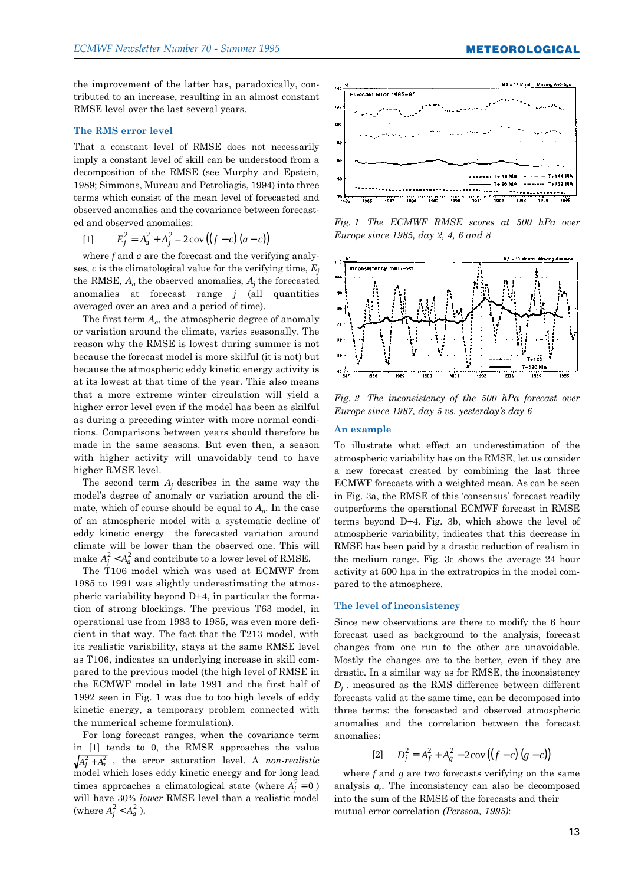the improvement of the latter has, paradoxically, contributed to an increase, resulting in an almost constant RMSE level over the last several years.

#### **The RMS error level**

That a constant level of RMSE does not necessarily imply a constant level of skill can be understood from a decomposition of the RMSE (see Murphy and Epstein, 1989; Simmons, Mureau and Petroliagis, 1994) into three terms which consist of the mean level of forecasted and observed anomalies and the covariance between forecasted and observed anomalies:

[1] 
$$
E_j^2 = A_a^2 + A_j^2 - 2\text{cov}((f-c)(a-c))
$$

where *f* and *a* are the forecast and the verifying analyses, *c* is the climatological value for the verifying time, *Ej* the RMSE,  $A_a$  the observed anomalies,  $A_i$  the forecasted anomalies at forecast range *j* (all quantities averaged over an area and a period of time).

The first term  $A_a$ , the atmospheric degree of anomaly or variation around the climate, varies seasonally. The reason why the RMSE is lowest during summer is not because the forecast model is more skilful (it is not) but because the atmospheric eddy kinetic energy activity is at its lowest at that time of the year. This also means that a more extreme winter circulation will yield a higher error level even if the model has been as skilful as during a preceding winter with more normal conditions. Comparisons between years should therefore be made in the same seasons. But even then, a season with higher activity will unavoidably tend to have higher RMSE level.

The second term *A<sup>j</sup>* describes in the same way the model's degree of anomaly or variation around the climate, which of course should be equal to  $A_a$ . In the case of an atmospheric model with a systematic decline of eddy kinetic energy the forecasted variation around climate will be lower than the observed one. This will make  $A_j^2 < A_a^2$  and contribute to a lower level of RMSE.

The T106 model which was used at ECMWF from 1985 to 1991 was slightly underestimating the atmospheric variability beyond D+4, in particular the formation of strong blockings. The previous T63 model, in operational use from 1983 to 1985, was even more deficient in that way. The fact that the T213 model, with its realistic variability, stays at the same RMSE level as T106, indicates an underlying increase in skill compared to the previous model (the high level of RMSE in the ECMWF model in late 1991 and the first half of 1992 seen in Fig. 1 was due to too high levels of eddy kinetic energy, a temporary problem connected with the numerical scheme formulation).

For long forecast ranges, when the covariance term in [1] tends to 0, the RMSE approaches the value  $A_j^2 + A_a^2$ , the error saturation level. A *non-realistic* model which loses eddy kinetic energy and for long lead times approaches a climatological state (where  $A_j^2 = 0$ ) will have 30% *lower* RMSE level than a realistic model (where  $A_j^2 < A_a^2$ ).



*Fig. 1 The ECMWF RMSE scores at 500 hPa over Europe since 1985, day 2, 4, 6 and 8*



*Fig. 2 The inconsistency of the 500 hPa forecast over Europe since 1987, day 5 vs. yesterdayís day 6*

#### **An example**

To illustrate what effect an underestimation of the atmospheric variability has on the RMSE, let us consider a new forecast created by combining the last three ECMWF forecasts with a weighted mean. As can be seen in Fig. 3a, the RMSE of this 'consensus' forecast readily outperforms the operational ECMWF forecast in RMSE terms beyond D+4. Fig. 3b, which shows the level of atmospheric variability, indicates that this decrease in RMSE has been paid by a drastic reduction of realism in the medium range. Fig. 3c shows the average 24 hour activity at 500 hpa in the extratropics in the model compared to the atmosphere.

#### **The level of inconsistency**

Since new observations are there to modify the 6 hour forecast used as background to the analysis, forecast changes from one run to the other are unavoidable. Mostly the changes are to the better, even if they are drastic. In a similar way as for RMSE, the inconsistency  $D_i$ . measured as the RMS difference between different forecasts valid at the same time, can be decomposed into three terms: the forecasted and observed atmospheric anomalies and the correlation between the forecast anomalies:

[2] 
$$
D_j^2 = A_f^2 + A_g^2 - 2\text{cov}((f-c)(g-c))
$$

where *f* and *g* are two forecasts verifying on the same analysis *a,*. The inconsistency can also be decomposed into the sum of the RMSE of the forecasts and their mutual error correlation *(Persson, 1995)*:

**METEOROLOGICAL**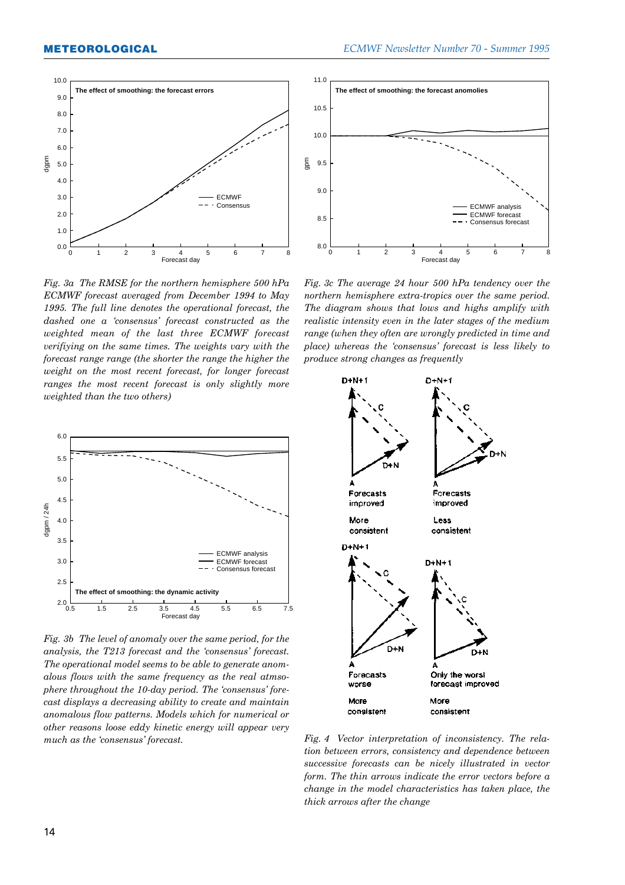

*Fig. 3a The RMSE for the northern hemisphere 500 hPa ECMWF forecast averaged from December 1994 to May 1995. The full line denotes the operational forecast, the dashed one a ëconsensusí forecast constructed as the weighted mean of the last three ECMWF forecast verifiying on the same times. The weights vary with the forecast range range (the shorter the range the higher the weight on the most recent forecast, for longer forecast ranges the most recent forecast is only slightly more weighted than the two others)*



*Fig. 3b The level of anomaly over the same period, for the* analysis, the T213 forecast and the 'consensus' forecast. *The operational model seems to be able to generate anomalous flows with the same frequency as the real atmso*phere throughout the 10-day period. The 'consensus' fore*cast displays a decreasing ability to create and maintain anomalous flow patterns. Models which for numerical or other reasons loose eddy kinetic energy will appear very much as the 'consensus' forecast.* 



*Fig. 3c The average 24 hour 500 hPa tendency over the northern hemisphere extra-tropics over the same period. The diagram shows that lows and highs amplify with realistic intensity even in the later stages of the medium range (when they often are wrongly predicted in time and place) whereas the ëconsensusí forecast is less likely to produce strong changes as frequently*



*Fig. 4 Vector interpretation of inconsistency. The relation between errors, consistency and dependence between successive forecasts can be nicely illustrated in vector form. The thin arrows indicate the error vectors before a change in the model characteristics has taken place, the thick arrows after the change*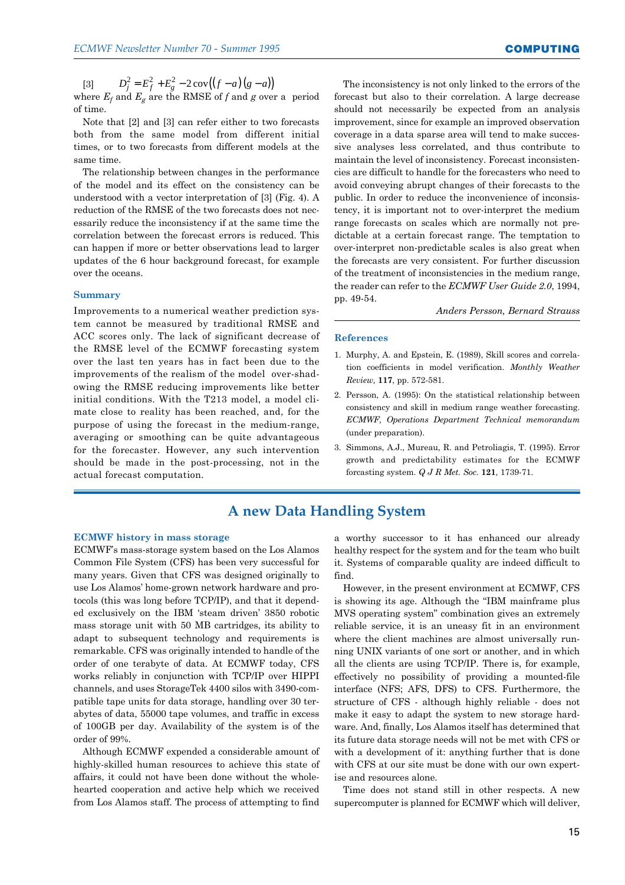[3]  $D_j^2 = E_f^2 + E_g^2 - 2\cos((f - a)(g - a))$ 

where  $E_f$  and  $E_g$  are the RMSE of  $f$  and  $g$  over a period of time.

Note that [2] and [3] can refer either to two forecasts both from the same model from different initial times, or to two forecasts from different models at the same time.

The relationship between changes in the performance of the model and its effect on the consistency can be understood with a vector interpretation of [3] (Fig. 4). A reduction of the RMSE of the two forecasts does not necessarily reduce the inconsistency if at the same time the correlation between the forecast errors is reduced. This can happen if more or better observations lead to larger updates of the 6 hour background forecast, for example over the oceans.

#### **Summary**

Improvements to a numerical weather prediction system cannot be measured by traditional RMSE and ACC scores only. The lack of significant decrease of the RMSE level of the ECMWF forecasting system over the last ten years has in fact been due to the improvements of the realism of the model over-shadowing the RMSE reducing improvements like better initial conditions. With the T213 model, a model climate close to reality has been reached, and, for the purpose of using the forecast in the medium-range, averaging or smoothing can be quite advantageous for the forecaster. However, any such intervention should be made in the post-processing, not in the actual forecast computation.

The inconsistency is not only linked to the errors of the forecast but also to their correlation. A large decrease should not necessarily be expected from an analysis improvement, since for example an improved observation coverage in a data sparse area will tend to make successive analyses less correlated, and thus contribute to maintain the level of inconsistency. Forecast inconsistencies are difficult to handle for the forecasters who need to avoid conveying abrupt changes of their forecasts to the public. In order to reduce the inconvenience of inconsistency, it is important not to over-interpret the medium range forecasts on scales which are normally not predictable at a certain forecast range. The temptation to over-interpret non-predictable scales is also great when the forecasts are very consistent. For further discussion of the treatment of inconsistencies in the medium range, the reader can refer to the *ECMWF User Guide 2.0*, 1994, pp. 49-54.

*Anders Persson, Bernard Strauss*

#### **References**

- 1. Murphy, A. and Epstein, E. (1989), Skill scores and correlation coefficients in model verification. *Monthly Weather Review,* **117**, pp. 572-581.
- 2. Persson, A. (1995): On the statistical relationship between consistency and skill in medium range weather forecasting. *ECMWF, Operations Department Technical memorandum* (under preparation).
- 3. Simmons, A.J., Mureau, R. and Petroliagis, T. (1995). Error growth and predictability estimates for the ECMWF forcasting system. *Q J R Met. Soc.* **121**, 1739-71.

# **A new Data Handling System**

#### **ECMWF history in mass storage**

ECMWFís mass-storage system based on the Los Alamos Common File System (CFS) has been very successful for many years. Given that CFS was designed originally to use Los Alamos' home-grown network hardware and protocols (this was long before TCP/IP), and that it depended exclusively on the IBM 'steam driven' 3850 robotic mass storage unit with 50 MB cartridges, its ability to adapt to subsequent technology and requirements is remarkable. CFS was originally intended to handle of the order of one terabyte of data. At ECMWF today, CFS works reliably in conjunction with TCP/IP over HIPPI channels, and uses StorageTek 4400 silos with 3490-compatible tape units for data storage, handling over 30 terabytes of data, 55000 tape volumes, and traffic in excess of 100GB per day. Availability of the system is of the order of 99%.

Although ECMWF expended a considerable amount of highly-skilled human resources to achieve this state of affairs, it could not have been done without the wholehearted cooperation and active help which we received from Los Alamos staff. The process of attempting to find a worthy successor to it has enhanced our already healthy respect for the system and for the team who built it. Systems of comparable quality are indeed difficult to find.

However, in the present environment at ECMWF, CFS is showing its age. Although the "IBM mainframe plus MVS operating system" combination gives an extremely reliable service, it is an uneasy fit in an environment where the client machines are almost universally running UNIX variants of one sort or another, and in which all the clients are using TCP/IP. There is, for example, effectively no possibility of providing a mounted-file interface (NFS; AFS, DFS) to CFS. Furthermore, the structure of CFS - although highly reliable - does not make it easy to adapt the system to new storage hardware. And, finally, Los Alamos itself has determined that its future data storage needs will not be met with CFS or with a development of it: anything further that is done with CFS at our site must be done with our own expertise and resources alone.

Time does not stand still in other respects. A new supercomputer is planned for ECMWF which will deliver,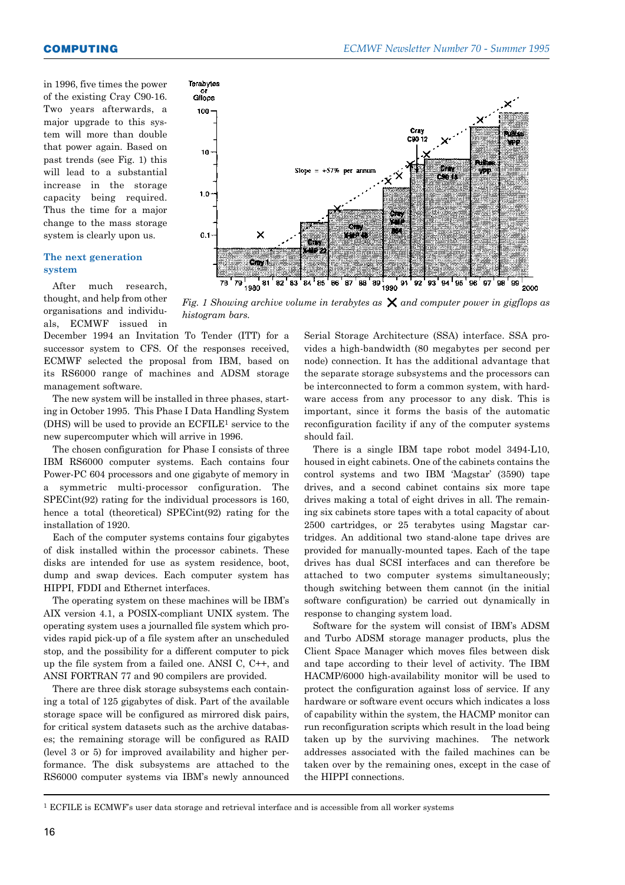in 1996, five times the power of the existing Cray C90-16. Two years afterwards, a major upgrade to this system will more than double that power again. Based on past trends (see Fig. 1) this will lead to a substantial increase in the storage capacity being required. Thus the time for a major change to the mass storage system is clearly upon us.

#### **The next generation system**

After much research, thought, and help from other organisations and individuals, ECMWF issued in

December 1994 an Invitation To Tender (ITT) for a successor system to CFS. Of the responses received, ECMWF selected the proposal from IBM, based on its RS6000 range of machines and ADSM storage management software.

The new system will be installed in three phases, starting in October 1995. This Phase I Data Handling System (DHS) will be used to provide an ECFILE1 service to the new supercomputer which will arrive in 1996.

The chosen configuration for Phase I consists of three IBM RS6000 computer systems. Each contains four Power-PC 604 processors and one gigabyte of memory in a symmetric multi-processor configuration. The SPECint(92) rating for the individual processors is 160, hence a total (theoretical) SPECint(92) rating for the installation of 1920.

Each of the computer systems contains four gigabytes of disk installed within the processor cabinets. These disks are intended for use as system residence, boot, dump and swap devices. Each computer system has HIPPI, FDDI and Ethernet interfaces.

The operating system on these machines will be IBM's AIX version 4.1, a POSIX-compliant UNIX system. The operating system uses a journalled file system which provides rapid pick-up of a file system after an unscheduled stop, and the possibility for a different computer to pick up the file system from a failed one. ANSI C, C++, and ANSI FORTRAN 77 and 90 compilers are provided.

There are three disk storage subsystems each containing a total of 125 gigabytes of disk. Part of the available storage space will be configured as mirrored disk pairs, for critical system datasets such as the archive databases; the remaining storage will be configured as RAID (level 3 or 5) for improved availability and higher performance. The disk subsystems are attached to the RS6000 computer systems via IBMís newly announced



*Fig. 1 Showing archive volume in terabytes as*  $\times$  *and computer power in gigflops as histogram bars.*

Serial Storage Architecture (SSA) interface. SSA provides a high-bandwidth (80 megabytes per second per node) connection. It has the additional advantage that the separate storage subsystems and the processors can be interconnected to form a common system, with hardware access from any processor to any disk. This is important, since it forms the basis of the automatic reconfiguration facility if any of the computer systems should fail.

There is a single IBM tape robot model 3494-L10, housed in eight cabinets. One of the cabinets contains the control systems and two IBM 'Magstar'  $(3590)$  tape drives, and a second cabinet contains six more tape drives making a total of eight drives in all. The remaining six cabinets store tapes with a total capacity of about 2500 cartridges, or 25 terabytes using Magstar cartridges. An additional two stand-alone tape drives are provided for manually-mounted tapes. Each of the tape drives has dual SCSI interfaces and can therefore be attached to two computer systems simultaneously; though switching between them cannot (in the initial software configuration) be carried out dynamically in response to changing system load.

Software for the system will consist of IBM's ADSM and Turbo ADSM storage manager products, plus the Client Space Manager which moves files between disk and tape according to their level of activity. The IBM HACMP/6000 high-availability monitor will be used to protect the configuration against loss of service. If any hardware or software event occurs which indicates a loss of capability within the system, the HACMP monitor can run reconfiguration scripts which result in the load being taken up by the surviving machines. The network addresses associated with the failed machines can be taken over by the remaining ones, except in the case of the HIPPI connections.

<sup>&</sup>lt;sup>1</sup> ECFILE is ECMWF's user data storage and retrieval interface and is accessible from all worker systems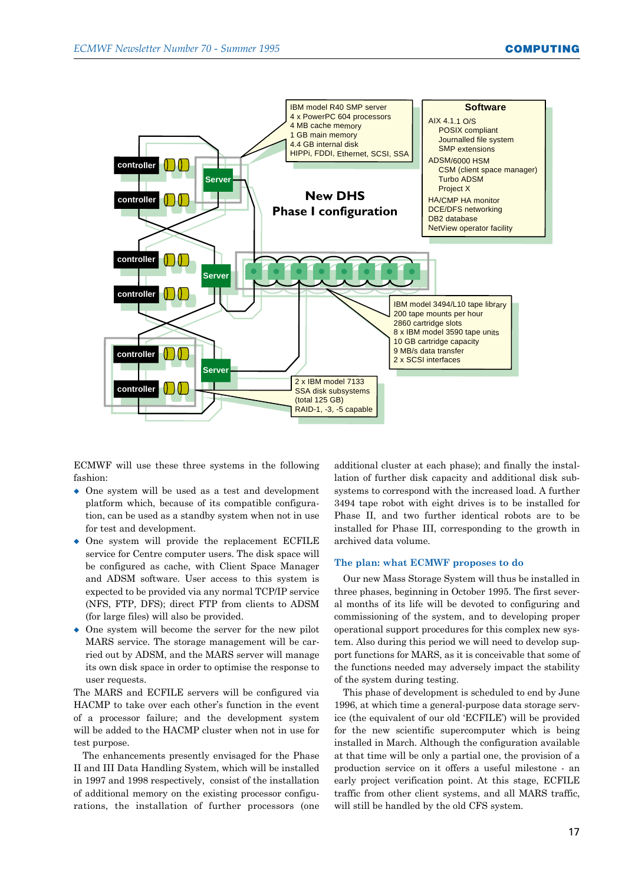

ECMWF will use these three systems in the following fashion:

- One system will be used as a test and development platform which, because of its compatible configuration, can be used as a standby system when not in use for test and development.
- $\bullet$  One system will provide the replacement ECFILE service for Centre computer users. The disk space will be configured as cache, with Client Space Manager and ADSM software. User access to this system is expected to be provided via any normal TCP/IP service (NFS, FTP, DFS); direct FTP from clients to ADSM (for large files) will also be provided.
- $\bullet$  One system will become the server for the new pilot MARS service. The storage management will be carried out by ADSM, and the MARS server will manage its own disk space in order to optimise the response to user requests.

The MARS and ECFILE servers will be configured via HACMP to take over each other's function in the event of a processor failure; and the development system will be added to the HACMP cluster when not in use for test purpose.

The enhancements presently envisaged for the Phase II and III Data Handling System, which will be installed in 1997 and 1998 respectively, consist of the installation of additional memory on the existing processor configurations, the installation of further processors (one additional cluster at each phase); and finally the installation of further disk capacity and additional disk subsystems to correspond with the increased load. A further 3494 tape robot with eight drives is to be installed for Phase II, and two further identical robots are to be installed for Phase III, corresponding to the growth in archived data volume.

#### **The plan: what ECMWF proposes to do**

Our new Mass Storage System will thus be installed in three phases, beginning in October 1995. The first several months of its life will be devoted to configuring and commissioning of the system, and to developing proper operational support procedures for this complex new system. Also during this period we will need to develop support functions for MARS, as it is conceivable that some of the functions needed may adversely impact the stability of the system during testing.

This phase of development is scheduled to end by June 1996, at which time a general-purpose data storage service (the equivalent of our old 'ECFILE') will be provided for the new scientific supercomputer which is being installed in March. Although the configuration available at that time will be only a partial one, the provision of a production service on it offers a useful milestone - an early project verification point. At this stage, ECFILE traffic from other client systems, and all MARS traffic, will still be handled by the old CFS system.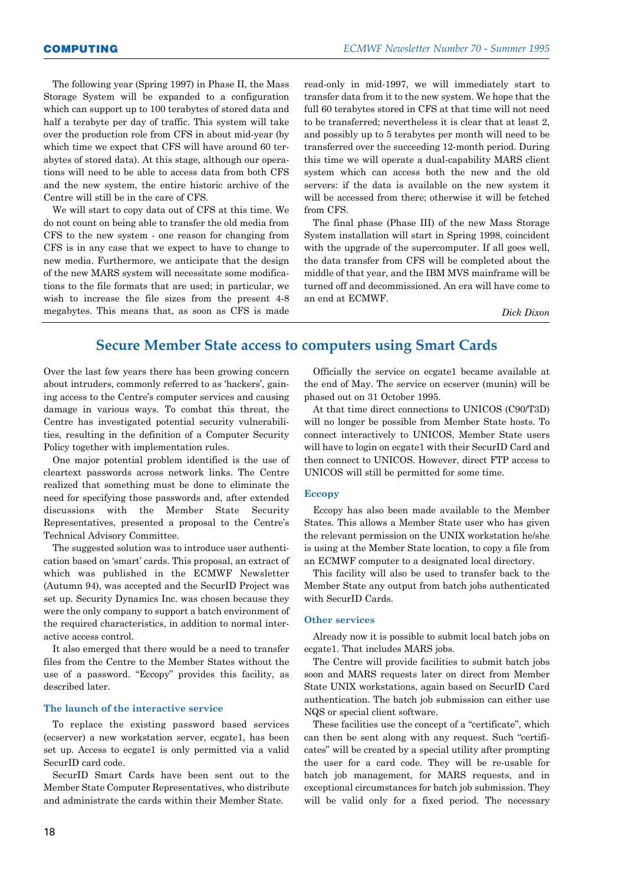The following year (Spring 1997) in Phase II, the Mass Storage System will be expanded to a configuration which can support up to 100 terabytes of stored data and half a terabyte per day of traffic. This system will take over the production role from CFS in about mid-year (by which time we expect that CFS will have around 60 terabytes of stored data). At this stage, although our operations will need to be able to access data from both CFS and the new system, the entire historic archive of the Centre will still be in the care of CFS.

We will start to copy data out of CFS at this time. We do not count on being able to transfer the old media from CFS to the new system - one reason for changing from CFS is in any case that we expect to have to change to new media. Furthermore, we anticipate that the design of the new MARS system will necessitate some modifications to the file formats that are used; in particular, we wish to increase the file sizes from the present 4-8 megabytes. This means that, as soon as CFS is made read-only in mid-1997, we will immediately start to transfer data from it to the new system. We hope that the full 60 terabytes stored in CFS at that time will not need to be transferred; nevertheless it is clear that at least 2, and possibly up to 5 terabytes per month will need to be transferred over the succeeding 12-month period. During this time we will operate a dual-capability MARS client system which can access both the new and the old servers: if the data is available on the new system it will be accessed from there; otherwise it will be fetched from CFS.

The final phase (Phase III) of the new Mass Storage System installation will start in Spring 1998, coincident with the upgrade of the supercomputer. If all goes well, the data transfer from CFS will be completed about the middle of that year, and the IBM MVS mainframe will be turned off and decommissioned. An era will have come to an end at ECMWF.

*Dick Dixon*

# **Secure Member State access to computers using Smart Cards**

Over the last few years there has been growing concern about intruders, commonly referred to as 'hackers', gaining access to the Centre's computer services and causing damage in various ways. To combat this threat, the Centre has investigated potential security vulnerabilities, resulting in the definition of a Computer Security Policy together with implementation rules.

One major potential problem identified is the use of cleartext passwords across network links. The Centre realized that something must be done to eliminate the need for specifying those passwords and, after extended discussions with the Member State Security Representatives, presented a proposal to the Centreís Technical Advisory Committee.

The suggested solution was to introduce user authentication based on 'smart' cards. This proposal, an extract of which was published in the ECMWF Newsletter (Autumn 94), was accepted and the SecurID Project was set up. Security Dynamics Inc. was chosen because they were the only company to support a batch environment of the required characteristics, in addition to normal interactive access control.

It also emerged that there would be a need to transfer files from the Centre to the Member States without the use of a password. "Eccopy" provides this facility, as described later.

#### **The launch of the interactive service**

To replace the existing password based services (ecserver) a new workstation server, ecgate1, has been set up. Access to ecgate1 is only permitted via a valid SecurID card code.

SecurID Smart Cards have been sent out to the Member State Computer Representatives, who distribute and administrate the cards within their Member State.

Officially the service on ecgate1 became available at the end of May. The service on ecserver (munin) will be phased out on 31 October 1995.

At that time direct connections to UNICOS (C90/T3D) will no longer be possible from Member State hosts. To connect interactively to UNICOS, Member State users will have to login on ecgate1 with their SecurID Card and then connect to UNICOS. However, direct FTP access to UNICOS will still be permitted for some time.

#### **Eccopy**

Eccopy has also been made available to the Member States. This allows a Member State user who has given the relevant permission on the UNIX workstation he/she is using at the Member State location, to copy a file from an ECMWF computer to a designated local directory.

This facility will also be used to transfer back to the Member State any output from batch jobs authenticated with SecurID Cards.

#### **Other services**

Already now it is possible to submit local batch jobs on ecgate1. That includes MARS jobs.

The Centre will provide facilities to submit batch jobs soon and MARS requests later on direct from Member State UNIX workstations, again based on SecurID Card authentication. The batch job submission can either use NQS or special client software.

These facilities use the concept of a "certificate", which can then be sent along with any request. Such "certificates" will be created by a special utility after prompting the user for a card code. They will be re-usable for batch job management, for MARS requests, and in exceptional circumstances for batch job submission. They will be valid only for a fixed period. The necessary